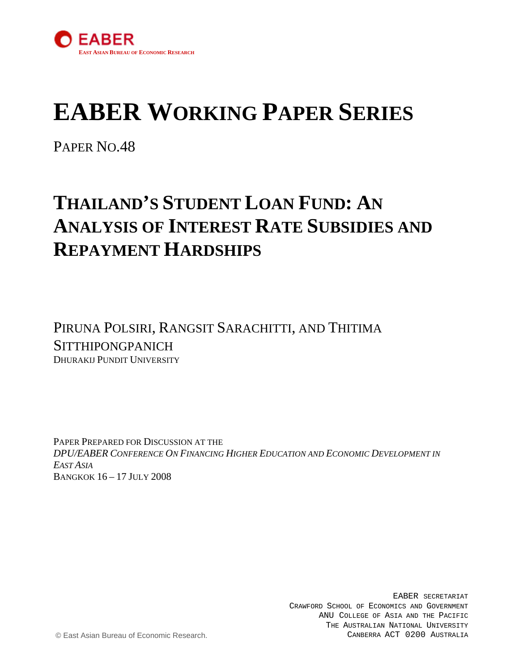

# **EABER WORKING PAPER SERIES**

PAPER NO.48

## **THAILAND'S STUDENT LOAN FUND: AN ANALYSIS OF INTEREST RATE SUBSIDIES AND REPAYMENT HARDSHIPS**

PIRUNA POLSIRI, RANGSIT SARACHITTI, AND THITIMA **SITTHIPONGPANICH** DHURAKIJ PUNDIT UNIVERSITY

PAPER PREPARED FOR DISCUSSION AT THE *DPU/EABER CONFERENCE ON FINANCING HIGHER EDUCATION AND ECONOMIC DEVELOPMENT IN EAST ASIA* BANGKOK 16 – 17 JULY 2008

> EABER SECRETARIAT CRAWFORD SCHOOL OF ECONOMICS AND GOVERNMENT ANU COLLEGE OF ASIA AND THE PACIFIC THE AUSTRALIAN NATIONAL UNIVERSITY CANBERRA ACT 0200 AUSTRALIA

© East Asian Bureau of Economic Research.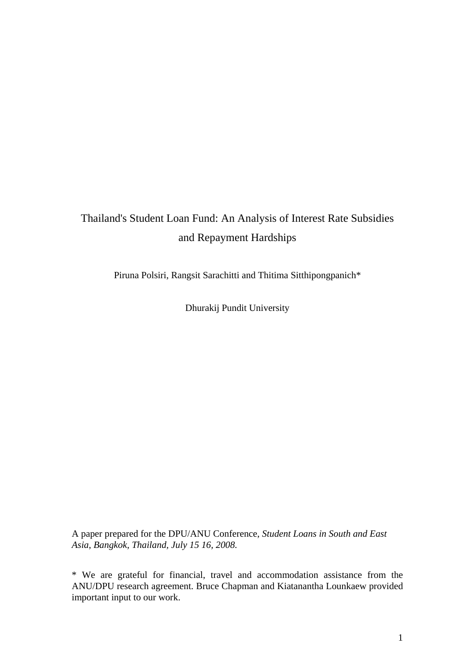### Thailand's Student Loan Fund: An Analysis of Interest Rate Subsidies and Repayment Hardships

Piruna Polsiri, Rangsit Sarachitti and Thitima Sitthipongpanich\*

Dhurakij Pundit University

A paper prepared for the DPU/ANU Conference, *Student Loans in South and East Asia*, *Bangkok, Thailand, July 15 16, 2008.*

\* We are grateful for financial, travel and accommodation assistance from the ANU/DPU research agreement. Bruce Chapman and Kiatanantha Lounkaew provided important input to our work.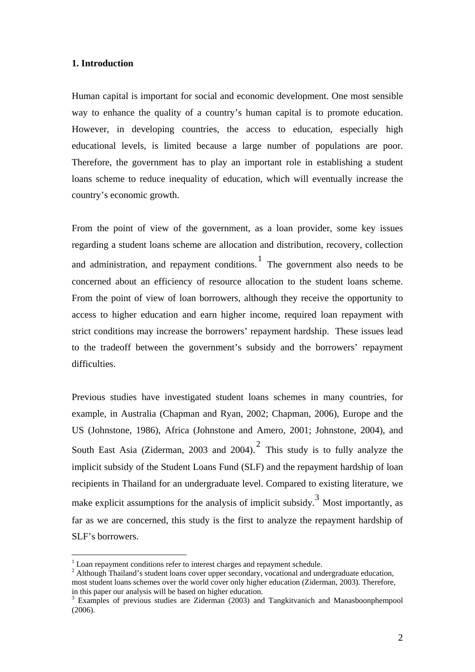#### **1. Introduction**

Human capital is important for social and economic development. One most sensible way to enhance the quality of a country's human capital is to promote education. However, in developing countries, the access to education, especially high educational levels, is limited because a large number of populations are poor. Therefore, the government has to play an important role in establishing a student loans scheme to reduce inequality of education, which will eventually increase the country's economic growth.

From the point of view of the government, as a loan provider, some key issues regarding a student loans scheme are allocation and distribution, recovery, collection and administration, and repayment conditions. The government also needs to be concerned about an efficiency of resource allocation to the student loans scheme. From the point of view of loan borrowers, although they receive the opportunity to access to higher education and earn higher income, required loan repayment with strict conditions may increase the borrowers' repayment hardship. These issues lead to the tradeoff between the government's subsidy and the borrowers' repayment difficulties.

Previous studies have investigated student loans schemes in many countries, for example, in Australia (Chapman and Ryan, 2002; Chapman, 2006), Europe and the US (Johnstone, 1986), Africa (Johnstone and Amero, 2001; Johnstone, 2004), and South East Asia (Ziderman, [2](#page-2-1)003 and 2004).<sup>2</sup> This study is to fully analyze the implicit subsidy of the Student Loans Fund (SLF) and the repayment hardship of loan recipients in Thailand for an undergraduate level. Compared to existing literature, we make explicit assumptions for the analysis of implicit subsidy.<sup>[3](#page-2-2)</sup> Most importantly, as far as we are concerned, this study is the first to analyze the repayment hardship of SLF's borrowers.

1

<sup>&</sup>lt;sup>1</sup> Loan repayment conditions refer to interest charges and repayment schedule.

<span id="page-2-1"></span><span id="page-2-0"></span><sup>&</sup>lt;sup>2</sup> Although Thailand's student loans cover upper secondary, vocational and undergraduate education, most student loans schemes over the world cover only higher education (Ziderman, 2003). Therefore, in this paper our analysis will be based on higher education.

<span id="page-2-2"></span><sup>&</sup>lt;sup>3</sup> Examples of previous studies are Ziderman (2003) and Tangkitvanich and Manasboonphempool (2006).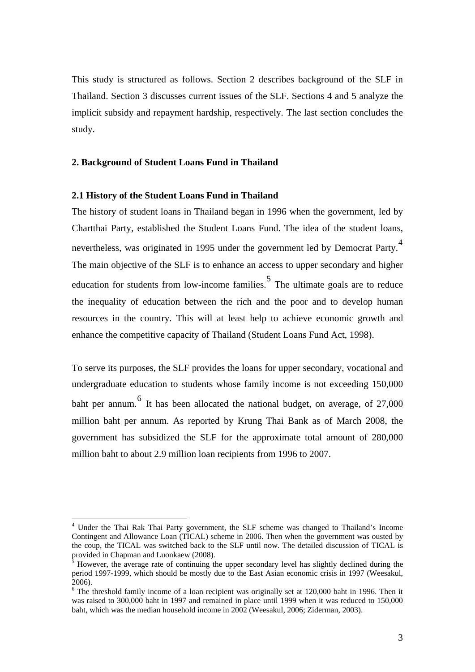This study is structured as follows. Section 2 describes background of the SLF in Thailand. Section 3 discusses current issues of the SLF. Sections 4 and 5 analyze the implicit subsidy and repayment hardship, respectively. The last section concludes the study.

#### **2. Background of Student Loans Fund in Thailand**

#### **2.1 History of the Student Loans Fund in Thailand**

1

The history of student loans in Thailand began in 1996 when the government, led by Chartthai Party, established the Student Loans Fund. The idea of the student loans, nevertheless, was originated in 1995 under the government led by Democrat Party.<sup>[4](#page-3-0)</sup> The main objective of the SLF is to enhance an access to upper secondary and higher education for students from low-income families. The ultimate goals are to reduce the inequality of education between the rich and the poor and to develop human resources in the country. This will at least help to achieve economic growth and enhance the competitive capacity of Thailand (Student Loans Fund Act, 1998).

To serve its purposes, the SLF provides the loans for upper secondary, vocational and undergraduate education to students whose family income is not exceeding 150,000 baht per annum.  $\frac{6}{1}$  $\frac{6}{1}$  $\frac{6}{1}$  It has been allocated the national budget, on average, of 27,000 million baht per annum. As reported by Krung Thai Bank as of March 2008, the government has subsidized the SLF for the approximate total amount of 280,000 million baht to about 2.9 million loan recipients from 1996 to 2007.

<span id="page-3-0"></span><sup>&</sup>lt;sup>4</sup> Under the Thai Rak Thai Party government, the SLF scheme was changed to Thailand's Income Contingent and Allowance Loan (TICAL) scheme in 2006. Then when the government was ousted by the coup, the TICAL was switched back to the SLF until now. The detailed discussion of TICAL is provided in Chapman and Luonkaew (2008).

<span id="page-3-1"></span><sup>5</sup> However, the average rate of continuing the upper secondary level has slightly declined during the period 1997-1999, which should be mostly due to the East Asian economic crisis in 1997 (Weesakul, 2006).

<span id="page-3-2"></span><sup>&</sup>lt;sup>6</sup> The threshold family income of a loan recipient was originally set at 120,000 baht in 1996. Then it was raised to 300,000 baht in 1997 and remained in place until 1999 when it was reduced to 150,000 baht, which was the median household income in 2002 (Weesakul, 2006; Ziderman, 2003).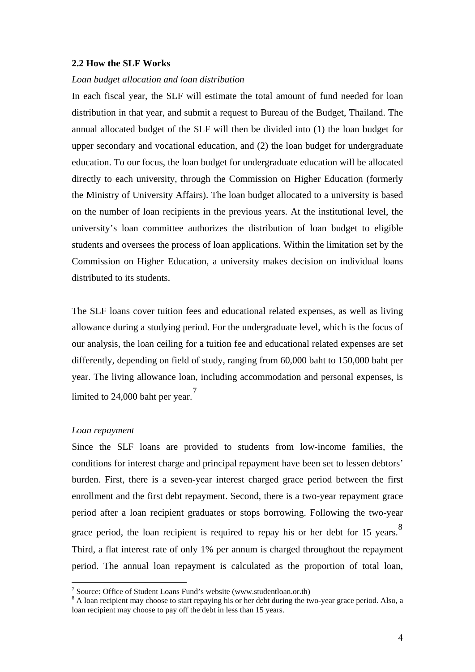#### **2.2 How the SLF Works**

#### *Loan budget allocation and loan distribution*

In each fiscal year, the SLF will estimate the total amount of fund needed for loan distribution in that year, and submit a request to Bureau of the Budget, Thailand. The annual allocated budget of the SLF will then be divided into (1) the loan budget for upper secondary and vocational education, and (2) the loan budget for undergraduate education. To our focus, the loan budget for undergraduate education will be allocated directly to each university, through the Commission on Higher Education (formerly the Ministry of University Affairs). The loan budget allocated to a university is based on the number of loan recipients in the previous years. At the institutional level, the university's loan committee authorizes the distribution of loan budget to eligible students and oversees the process of loan applications. Within the limitation set by the Commission on Higher Education, a university makes decision on individual loans distributed to its students.

The SLF loans cover tuition fees and educational related expenses, as well as living allowance during a studying period. For the undergraduate level, which is the focus of our analysis, the loan ceiling for a tuition fee and educational related expenses are set differently, depending on field of study, ranging from 60,000 baht to 150,000 baht per year. The living allowance loan, including accommodation and personal expenses, is limited to 24,000 baht per year. $7$ 

#### *Loan repayment*

1

Since the SLF loans are provided to students from low-income families, the conditions for interest charge and principal repayment have been set to lessen debtors' burden. First, there is a seven-year interest charged grace period between the first enrollment and the first debt repayment. Second, there is a two-year repayment grace period after a loan recipient graduates or stops borrowing. Following the two-year grace period, the loan recipient is required to repay his or her debt for 15 years.<sup>[8](#page-4-1)</sup> Third, a flat interest rate of only 1% per annum is charged throughout the repayment period. The annual loan repayment is calculated as the proportion of total loan,

<sup>&</sup>lt;sup>7</sup> Source: Office of Student Loans Fund's website (www.studentloan.or.th)

<span id="page-4-1"></span><span id="page-4-0"></span> $8$  A loan recipient may choose to start repaying his or her debt during the two-year grace period. Also, a loan recipient may choose to pay off the debt in less than 15 years.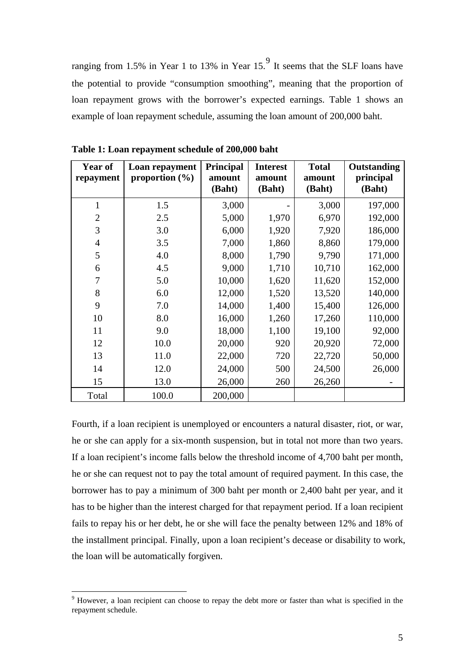ranging from 1.5% in Year 1 to 13% in Year 15.<sup>[9](#page-5-0)</sup> It seems that the SLF loans have the potential to provide "consumption smoothing", meaning that the proportion of loan repayment grows with the borrower's expected earnings. Table 1 shows an example of loan repayment schedule, assuming the loan amount of 200,000 baht.

| Year of<br>repayment | Loan repayment<br>proportion $(\% )$ | <b>Principal</b><br>amount<br>(Baht) | <b>Interest</b><br>amount<br>(Baht) | <b>Total</b><br>amount<br>(Baht) | Outstanding<br>principal<br>(Baht) |
|----------------------|--------------------------------------|--------------------------------------|-------------------------------------|----------------------------------|------------------------------------|
| $\mathbf{1}$         | 1.5                                  | 3,000                                |                                     | 3,000                            | 197,000                            |
| $\overline{2}$       | 2.5                                  | 5,000                                | 1,970                               | 6,970                            | 192,000                            |
| 3                    | 3.0                                  | 6,000                                | 1,920                               | 7,920                            | 186,000                            |
| $\overline{4}$       | 3.5                                  | 7,000                                | 1,860                               | 8,860                            | 179,000                            |
| 5                    | 4.0                                  | 8,000                                | 1,790                               | 9,790                            | 171,000                            |
| 6                    | 4.5                                  | 9,000                                | 1,710                               | 10,710                           | 162,000                            |
| 7                    | 5.0                                  | 10,000                               | 1,620                               | 11,620                           | 152,000                            |
| 8                    | 6.0                                  | 12,000                               | 1,520                               | 13,520                           | 140,000                            |
| 9                    | 7.0                                  | 14,000                               | 1,400                               | 15,400                           | 126,000                            |
| 10                   | 8.0                                  | 16,000                               | 1,260                               | 17,260                           | 110,000                            |
| 11                   | 9.0                                  | 18,000                               | 1,100                               | 19,100                           | 92,000                             |
| 12                   | 10.0                                 | 20,000                               | 920                                 | 20,920                           | 72,000                             |
| 13                   | 11.0                                 | 22,000                               | 720                                 | 22,720                           | 50,000                             |
| 14                   | 12.0                                 | 24,000                               | 500                                 | 24,500                           | 26,000                             |
| 15                   | 13.0                                 | 26,000                               | 260                                 | 26,260                           |                                    |
| Total                | 100.0                                | 200,000                              |                                     |                                  |                                    |

**Table 1: Loan repayment schedule of 200,000 baht** 

Fourth, if a loan recipient is unemployed or encounters a natural disaster, riot, or war, he or she can apply for a six-month suspension, but in total not more than two years. If a loan recipient's income falls below the threshold income of 4,700 baht per month, he or she can request not to pay the total amount of required payment. In this case, the borrower has to pay a minimum of 300 baht per month or 2,400 baht per year, and it has to be higher than the interest charged for that repayment period. If a loan recipient fails to repay his or her debt, he or she will face the penalty between 12% and 18% of the installment principal. Finally, upon a loan recipient's decease or disability to work, the loan will be automatically forgiven.

<u>.</u>

<span id="page-5-0"></span><sup>&</sup>lt;sup>9</sup> However, a loan recipient can choose to repay the debt more or faster than what is specified in the repayment schedule.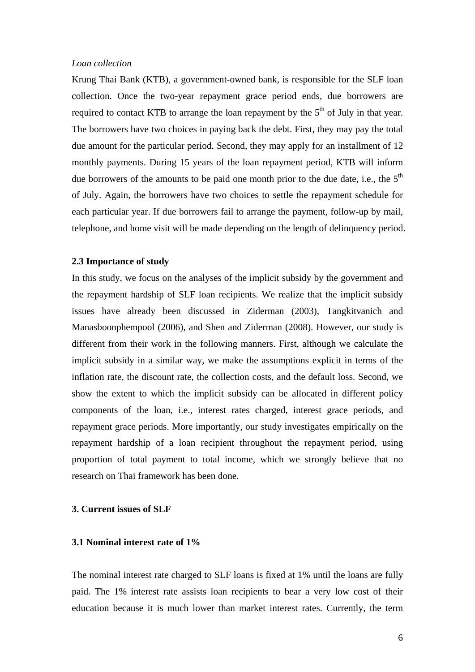#### *Loan collection*

Krung Thai Bank (KTB), a government-owned bank, is responsible for the SLF loan collection. Once the two-year repayment grace period ends, due borrowers are required to contact KTB to arrange the loan repayment by the  $5<sup>th</sup>$  of July in that year. The borrowers have two choices in paying back the debt. First, they may pay the total due amount for the particular period. Second, they may apply for an installment of 12 monthly payments. During 15 years of the loan repayment period, KTB will inform due borrowers of the amounts to be paid one month prior to the due date, i.e., the  $5<sup>th</sup>$ of July. Again, the borrowers have two choices to settle the repayment schedule for each particular year. If due borrowers fail to arrange the payment, follow-up by mail, telephone, and home visit will be made depending on the length of delinquency period.

#### **2.3 Importance of study**

In this study, we focus on the analyses of the implicit subsidy by the government and the repayment hardship of SLF loan recipients. We realize that the implicit subsidy issues have already been discussed in Ziderman (2003), Tangkitvanich and Manasboonphempool (2006), and Shen and Ziderman (2008). However, our study is different from their work in the following manners. First, although we calculate the implicit subsidy in a similar way, we make the assumptions explicit in terms of the inflation rate, the discount rate, the collection costs, and the default loss. Second, we show the extent to which the implicit subsidy can be allocated in different policy components of the loan, i.e., interest rates charged, interest grace periods, and repayment grace periods. More importantly, our study investigates empirically on the repayment hardship of a loan recipient throughout the repayment period, using proportion of total payment to total income, which we strongly believe that no research on Thai framework has been done.

#### **3. Current issues of SLF**

#### **3.1 Nominal interest rate of 1%**

The nominal interest rate charged to SLF loans is fixed at 1% until the loans are fully paid. The 1% interest rate assists loan recipients to bear a very low cost of their education because it is much lower than market interest rates. Currently, the term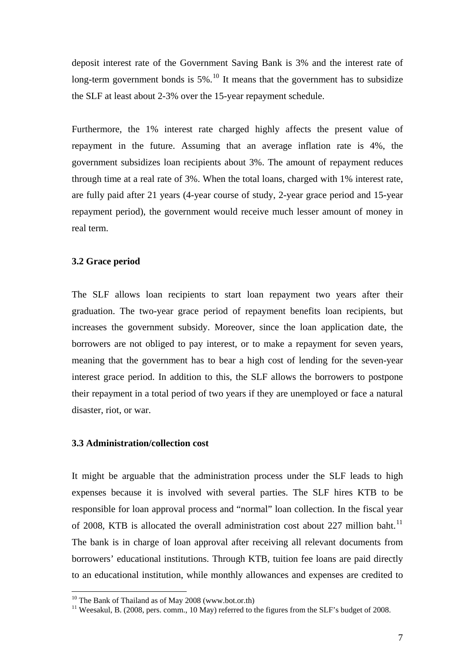deposit interest rate of the Government Saving Bank is 3% and the interest rate of long-term government bonds is  $5\%$ .<sup>[10](#page-7-0)</sup> It means that the government has to subsidize the SLF at least about 2-3% over the 15-year repayment schedule.

Furthermore, the 1% interest rate charged highly affects the present value of repayment in the future. Assuming that an average inflation rate is 4%, the government subsidizes loan recipients about 3%. The amount of repayment reduces through time at a real rate of 3%. When the total loans, charged with 1% interest rate, are fully paid after 21 years (4-year course of study, 2-year grace period and 15-year repayment period), the government would receive much lesser amount of money in real term.

#### **3.2 Grace period**

The SLF allows loan recipients to start loan repayment two years after their graduation. The two-year grace period of repayment benefits loan recipients, but increases the government subsidy. Moreover, since the loan application date, the borrowers are not obliged to pay interest, or to make a repayment for seven years, meaning that the government has to bear a high cost of lending for the seven-year interest grace period. In addition to this, the SLF allows the borrowers to postpone their repayment in a total period of two years if they are unemployed or face a natural disaster, riot, or war.

#### **3.3 Administration/collection cost**

It might be arguable that the administration process under the SLF leads to high expenses because it is involved with several parties. The SLF hires KTB to be responsible for loan approval process and "normal" loan collection. In the fiscal year of 2008, KTB is allocated the overall administration cost about 227 million baht.<sup>[11](#page-7-1)</sup> The bank is in charge of loan approval after receiving all relevant documents from borrowers' educational institutions. Through KTB, tuition fee loans are paid directly to an educational institution, while monthly allowances and expenses are credited to

<span id="page-7-0"></span> $10$  The Bank of Thailand as of May 2008 (www.bot.or.th)

<span id="page-7-1"></span> $11$  Weesakul, B. (2008, pers. comm., 10 May) referred to the figures from the SLF's budget of 2008.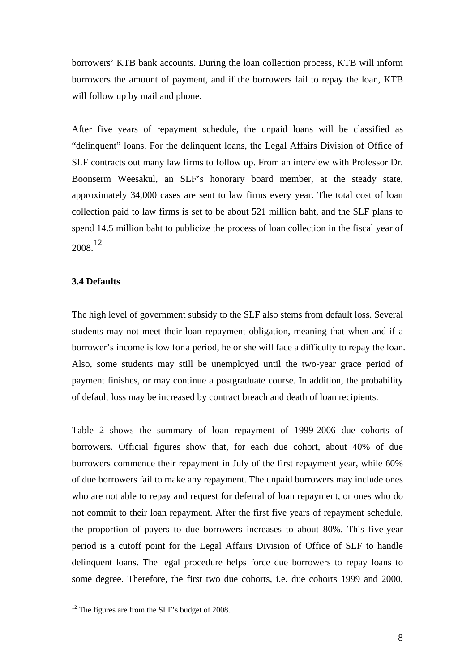borrowers' KTB bank accounts. During the loan collection process, KTB will inform borrowers the amount of payment, and if the borrowers fail to repay the loan, KTB will follow up by mail and phone.

After five years of repayment schedule, the unpaid loans will be classified as "delinquent" loans. For the delinquent loans, the Legal Affairs Division of Office of SLF contracts out many law firms to follow up. From an interview with Professor Dr. Boonserm Weesakul, an SLF's honorary board member, at the steady state, approximately 34,000 cases are sent to law firms every year. The total cost of loan collection paid to law firms is set to be about 521 million baht, and the SLF plans to spend 14.5 million baht to publicize the process of loan collection in the fiscal year of 2008.[12](#page-8-0)

#### **3.4 Defaults**

The high level of government subsidy to the SLF also stems from default loss. Several students may not meet their loan repayment obligation, meaning that when and if a borrower's income is low for a period, he or she will face a difficulty to repay the loan. Also, some students may still be unemployed until the two-year grace period of payment finishes, or may continue a postgraduate course. In addition, the probability of default loss may be increased by contract breach and death of loan recipients.

Table 2 shows the summary of loan repayment of 1999-2006 due cohorts of borrowers. Official figures show that, for each due cohort, about 40% of due borrowers commence their repayment in July of the first repayment year, while 60% of due borrowers fail to make any repayment. The unpaid borrowers may include ones who are not able to repay and request for deferral of loan repayment, or ones who do not commit to their loan repayment. After the first five years of repayment schedule, the proportion of payers to due borrowers increases to about 80%. This five-year period is a cutoff point for the Legal Affairs Division of Office of SLF to handle delinquent loans. The legal procedure helps force due borrowers to repay loans to some degree. Therefore, the first two due cohorts, i.e. due cohorts 1999 and 2000,

1

<span id="page-8-0"></span> $12$  The figures are from the SLF's budget of 2008.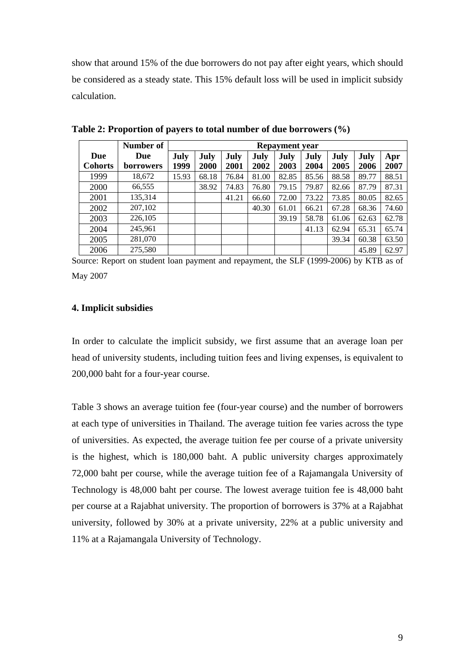show that around 15% of the due borrowers do not pay after eight years, which should be considered as a steady state. This 15% default loss will be used in implicit subsidy calculation.

|                | Number of        |       | <b>Repayment year</b> |       |       |       |       |       |       |       |
|----------------|------------------|-------|-----------------------|-------|-------|-------|-------|-------|-------|-------|
| Due            | Due              | July  | July                  | July  | July  | July  | July  | July  | July  | Apr   |
| <b>Cohorts</b> | <b>borrowers</b> | 1999  | 2000                  | 2001  | 2002  | 2003  | 2004  | 2005  | 2006  | 2007  |
| 1999           | 18,672           | 15.93 | 68.18                 | 76.84 | 81.00 | 82.85 | 85.56 | 88.58 | 89.77 | 88.51 |
| 2000           | 66,555           |       | 38.92                 | 74.83 | 76.80 | 79.15 | 79.87 | 82.66 | 87.79 | 87.31 |
| 2001           | 135.314          |       |                       | 41.21 | 66.60 | 72.00 | 73.22 | 73.85 | 80.05 | 82.65 |
| 2002           | 207,102          |       |                       |       | 40.30 | 61.01 | 66.21 | 67.28 | 68.36 | 74.60 |
| 2003           | 226,105          |       |                       |       |       | 39.19 | 58.78 | 61.06 | 62.63 | 62.78 |
| 2004           | 245,961          |       |                       |       |       |       | 41.13 | 62.94 | 65.31 | 65.74 |
| 2005           | 281,070          |       |                       |       |       |       |       | 39.34 | 60.38 | 63.50 |
| 2006           | 275,580          |       |                       |       |       |       |       |       | 45.89 | 62.97 |

**Table 2: Proportion of payers to total number of due borrowers (%)** 

Source: Report on student loan payment and repayment, the SLF (1999-2006) by KTB as of May 2007

#### **4. Implicit subsidies**

In order to calculate the implicit subsidy, we first assume that an average loan per head of university students, including tuition fees and living expenses, is equivalent to 200,000 baht for a four-year course.

Table 3 shows an average tuition fee (four-year course) and the number of borrowers at each type of universities in Thailand. The average tuition fee varies across the type of universities. As expected, the average tuition fee per course of a private university is the highest, which is 180,000 baht. A public university charges approximately 72,000 baht per course, while the average tuition fee of a Rajamangala University of Technology is 48,000 baht per course. The lowest average tuition fee is 48,000 baht per course at a Rajabhat university. The proportion of borrowers is 37% at a Rajabhat university, followed by 30% at a private university, 22% at a public university and 11% at a Rajamangala University of Technology.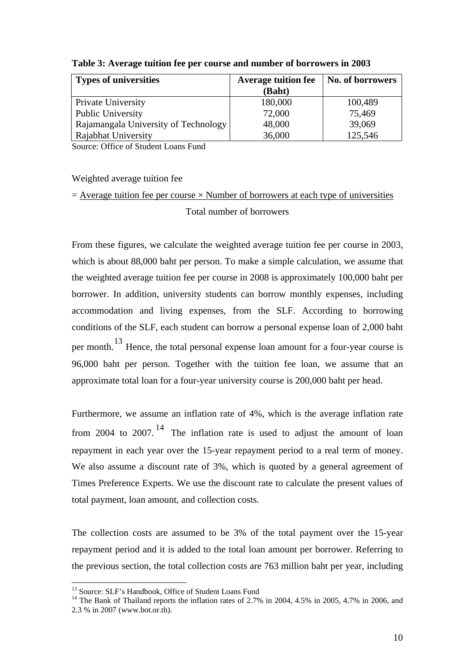| <b>Types of universities</b>         | <b>Average tuition fee</b> | No. of borrowers |  |
|--------------------------------------|----------------------------|------------------|--|
|                                      | (Baht)                     |                  |  |
| Private University                   | 180,000                    | 100,489          |  |
| <b>Public University</b>             | 72,000                     | 75,469           |  |
| Rajamangala University of Technology | 48,000                     | 39,069           |  |
| Rajabhat University                  | 36,000                     | 125,546          |  |

**Table 3: Average tuition fee per course and number of borrowers in 2003** 

Source: Office of Student Loans Fund

#### Weighted average tuition fee

## $=$  Average tuition fee per course  $\times$  Number of borrowers at each type of universities

#### Total number of borrowers

From these figures, we calculate the weighted average tuition fee per course in 2003, which is about 88,000 baht per person. To make a simple calculation, we assume that the weighted average tuition fee per course in 2008 is approximately 100,000 baht per borrower. In addition, university students can borrow monthly expenses, including accommodation and living expenses, from the SLF. According to borrowing conditions of the SLF, each student can borrow a personal expense loan of 2,000 baht per month.[13](#page-10-0) Hence, the total personal expense loan amount for a four-year course is 96,000 baht per person. Together with the tuition fee loan, we assume that an approximate total loan for a four-year university course is 200,000 baht per head.

Furthermore, we assume an inflation rate of 4%, which is the average inflation rate from 2004 to 2007.<sup>[14](#page-10-1)</sup> The inflation rate is used to adjust the amount of loan repayment in each year over the 15-year repayment period to a real term of money. We also assume a discount rate of 3%, which is quoted by a general agreement of Times Preference Experts. We use the discount rate to calculate the present values of total payment, loan amount, and collection costs.

The collection costs are assumed to be 3% of the total payment over the 15-year repayment period and it is added to the total loan amount per borrower. Referring to the previous section, the total collection costs are 763 million baht per year, including

1

<sup>&</sup>lt;sup>13</sup> Source: SLF's Handbook, Office of Student Loans Fund

<span id="page-10-1"></span><span id="page-10-0"></span><sup>&</sup>lt;sup>14</sup> The Bank of Thailand reports the inflation rates of 2.7% in 2004, 4.5% in 2005, 4.7% in 2006, and 2.3 % in 2007 (www.bot.or.th).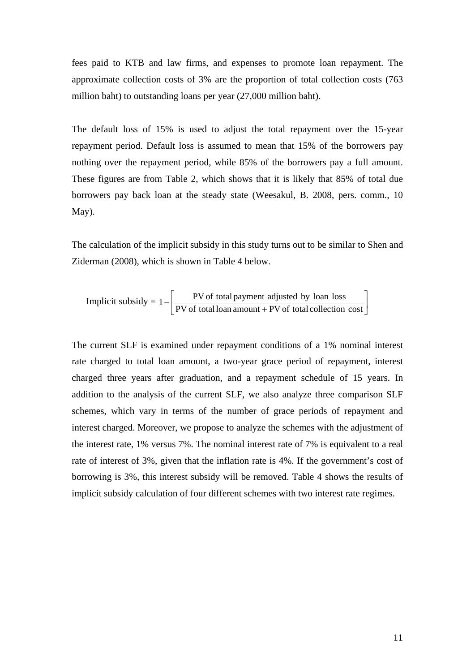fees paid to KTB and law firms, and expenses to promote loan repayment. The approximate collection costs of 3% are the proportion of total collection costs (763 million baht) to outstanding loans per year (27,000 million baht).

The default loss of 15% is used to adjust the total repayment over the 15-year repayment period. Default loss is assumed to mean that 15% of the borrowers pay nothing over the repayment period, while 85% of the borrowers pay a full amount. These figures are from Table 2, which shows that it is likely that 85% of total due borrowers pay back loan at the steady state (Weesakul, B. 2008, pers. comm., 10 May).

The calculation of the implicit subsidy in this study turns out to be similar to Shen and Ziderman (2008), which is shown in Table 4 below.

Implicit subsidy = 
$$
1 - \left[ \frac{PV \text{ of total payment adjusted by loan loss}}{PV \text{ of total loan amount} + PV \text{ of total collection cost}} \right]
$$

The current SLF is examined under repayment conditions of a 1% nominal interest rate charged to total loan amount, a two-year grace period of repayment, interest charged three years after graduation, and a repayment schedule of 15 years. In addition to the analysis of the current SLF, we also analyze three comparison SLF schemes, which vary in terms of the number of grace periods of repayment and interest charged. Moreover, we propose to analyze the schemes with the adjustment of the interest rate, 1% versus 7%. The nominal interest rate of 7% is equivalent to a real rate of interest of 3%, given that the inflation rate is 4%. If the government's cost of borrowing is 3%, this interest subsidy will be removed. Table 4 shows the results of implicit subsidy calculation of four different schemes with two interest rate regimes.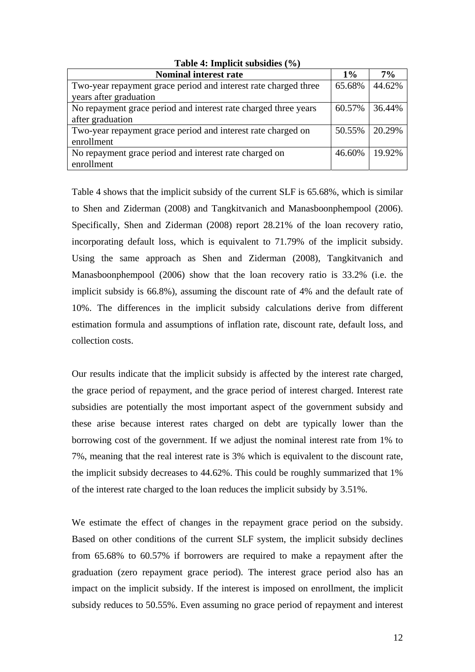| $1000 \div 10000 \div 10000$                                                              |        |        |  |  |  |  |
|-------------------------------------------------------------------------------------------|--------|--------|--|--|--|--|
| <b>Nominal interest rate</b>                                                              | $1\%$  | $7\%$  |  |  |  |  |
| Two-year repayment grace period and interest rate charged three<br>years after graduation | 65.68% | 44.62% |  |  |  |  |
| No repayment grace period and interest rate charged three years<br>after graduation       | 60.57% | 36.44% |  |  |  |  |
| Two-year repayment grace period and interest rate charged on<br>enrollment                | 50.55% | 20.29% |  |  |  |  |
| No repayment grace period and interest rate charged on<br>enrollment                      | 46.60% | 19.92% |  |  |  |  |

**Table 4: Implicit subsidies (%)** 

Table 4 shows that the implicit subsidy of the current SLF is 65.68%, which is similar to Shen and Ziderman (2008) and Tangkitvanich and Manasboonphempool (2006). Specifically, Shen and Ziderman (2008) report 28.21% of the loan recovery ratio, incorporating default loss, which is equivalent to 71.79% of the implicit subsidy. Using the same approach as Shen and Ziderman (2008), Tangkitvanich and Manasboonphempool (2006) show that the loan recovery ratio is 33.2% (i.e. the implicit subsidy is 66.8%), assuming the discount rate of 4% and the default rate of 10%. The differences in the implicit subsidy calculations derive from different estimation formula and assumptions of inflation rate, discount rate, default loss, and collection costs.

Our results indicate that the implicit subsidy is affected by the interest rate charged, the grace period of repayment, and the grace period of interest charged. Interest rate subsidies are potentially the most important aspect of the government subsidy and these arise because interest rates charged on debt are typically lower than the borrowing cost of the government. If we adjust the nominal interest rate from 1% to 7%, meaning that the real interest rate is 3% which is equivalent to the discount rate, the implicit subsidy decreases to 44.62%. This could be roughly summarized that 1% of the interest rate charged to the loan reduces the implicit subsidy by 3.51%.

We estimate the effect of changes in the repayment grace period on the subsidy. Based on other conditions of the current SLF system, the implicit subsidy declines from 65.68% to 60.57% if borrowers are required to make a repayment after the graduation (zero repayment grace period). The interest grace period also has an impact on the implicit subsidy. If the interest is imposed on enrollment, the implicit subsidy reduces to 50.55%. Even assuming no grace period of repayment and interest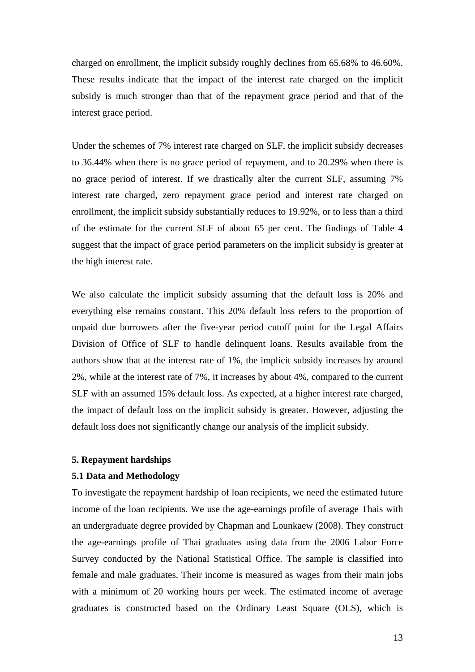charged on enrollment, the implicit subsidy roughly declines from 65.68% to 46.60%. These results indicate that the impact of the interest rate charged on the implicit subsidy is much stronger than that of the repayment grace period and that of the interest grace period.

Under the schemes of 7% interest rate charged on SLF, the implicit subsidy decreases to 36.44% when there is no grace period of repayment, and to 20.29% when there is no grace period of interest. If we drastically alter the current SLF, assuming 7% interest rate charged, zero repayment grace period and interest rate charged on enrollment, the implicit subsidy substantially reduces to 19.92%, or to less than a third of the estimate for the current SLF of about 65 per cent. The findings of Table 4 suggest that the impact of grace period parameters on the implicit subsidy is greater at the high interest rate.

We also calculate the implicit subsidy assuming that the default loss is 20% and everything else remains constant. This 20% default loss refers to the proportion of unpaid due borrowers after the five-year period cutoff point for the Legal Affairs Division of Office of SLF to handle delinquent loans. Results available from the authors show that at the interest rate of 1%, the implicit subsidy increases by around 2%, while at the interest rate of 7%, it increases by about 4%, compared to the current SLF with an assumed 15% default loss. As expected, at a higher interest rate charged, the impact of default loss on the implicit subsidy is greater. However, adjusting the default loss does not significantly change our analysis of the implicit subsidy.

#### **5. Repayment hardships**

#### **5.1 Data and Methodology**

To investigate the repayment hardship of loan recipients, we need the estimated future income of the loan recipients. We use the age-earnings profile of average Thais with an undergraduate degree provided by Chapman and Lounkaew (2008). They construct the age-earnings profile of Thai graduates using data from the 2006 Labor Force Survey conducted by the National Statistical Office. The sample is classified into female and male graduates. Their income is measured as wages from their main jobs with a minimum of 20 working hours per week. The estimated income of average graduates is constructed based on the Ordinary Least Square (OLS), which is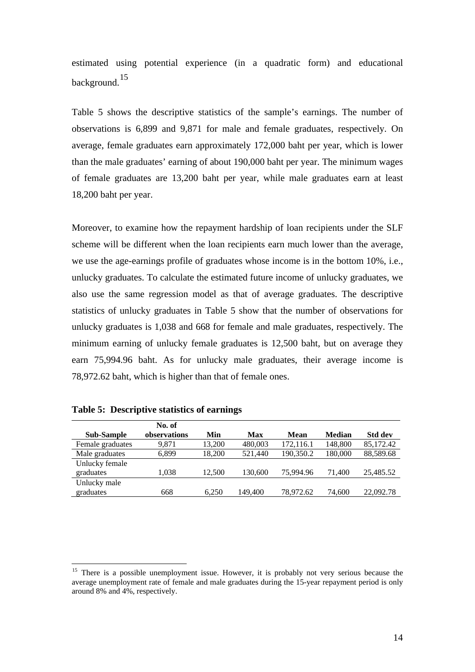estimated using potential experience (in a quadratic form) and educational background.<sup>[15](#page-14-0)</sup>

Table 5 shows the descriptive statistics of the sample's earnings. The number of observations is 6,899 and 9,871 for male and female graduates, respectively. On average, female graduates earn approximately 172,000 baht per year, which is lower than the male graduates' earning of about 190,000 baht per year. The minimum wages of female graduates are 13,200 baht per year, while male graduates earn at least 18,200 baht per year.

Moreover, to examine how the repayment hardship of loan recipients under the SLF scheme will be different when the loan recipients earn much lower than the average, we use the age-earnings profile of graduates whose income is in the bottom 10%, i.e., unlucky graduates. To calculate the estimated future income of unlucky graduates, we also use the same regression model as that of average graduates. The descriptive statistics of unlucky graduates in Table 5 show that the number of observations for unlucky graduates is 1,038 and 668 for female and male graduates, respectively. The minimum earning of unlucky female graduates is 12,500 baht, but on average they earn 75,994.96 baht. As for unlucky male graduates, their average income is 78,972.62 baht, which is higher than that of female ones.

| <b>Sub-Sample</b> | No. of<br>observations | Min    | Max     | Mean      | <b>Median</b> | <b>Std dev</b> |
|-------------------|------------------------|--------|---------|-----------|---------------|----------------|
| Female graduates  | 9.871                  | 13.200 | 480,003 | 172,116.1 | 148,800       | 85,172.42      |
| Male graduates    | 6,899                  | 18.200 | 521,440 | 190,350.2 | 180,000       | 88,589.68      |
| Unlucky female    |                        |        |         |           |               |                |
| graduates         | 1,038                  | 12.500 | 130,600 | 75,994.96 | 71,400        | 25,485.52      |
| Unlucky male      |                        |        |         |           |               |                |
| graduates         | 668                    | 6.250  | 149,400 | 78.972.62 | 74.600        | 22,092.78      |

| Table 5: Descriptive statistics of earnings |  |  |
|---------------------------------------------|--|--|
|---------------------------------------------|--|--|

1

<span id="page-14-0"></span><sup>&</sup>lt;sup>15</sup> There is a possible unemployment issue. However, it is probably not very serious because the average unemployment rate of female and male graduates during the 15-year repayment period is only around 8% and 4%, respectively.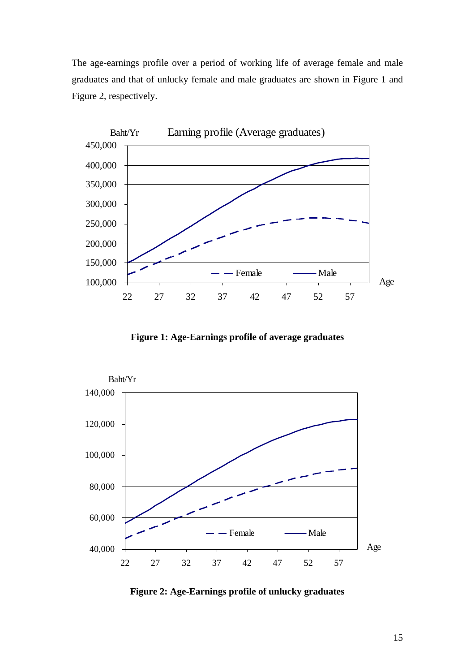The age-earnings profile over a period of working life of average female and male graduates and that of unlucky female and male graduates are shown in Figure 1 and Figure 2, respectively.



**Figure 1: Age-Earnings profile of average graduates** 



**Figure 2: Age-Earnings profile of unlucky graduates**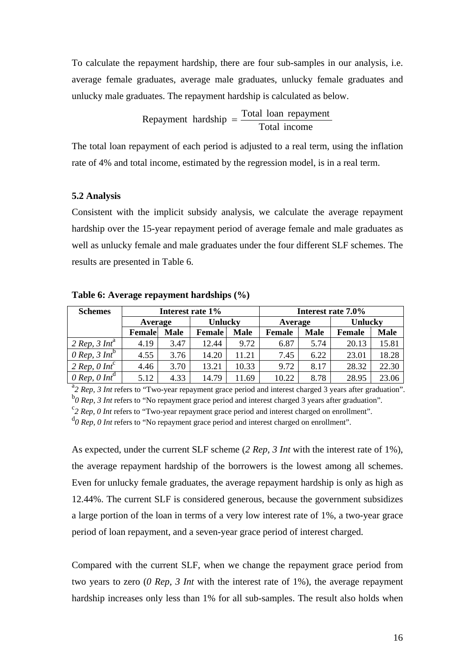To calculate the repayment hardship, there are four sub-samples in our analysis, i.e. average female graduates, average male graduates, unlucky female graduates and unlucky male graduates. The repayment hardship is calculated as below.

> Total income Repayment hardship  $=\frac{\text{Total loan repayment}}{\text{Total } \cdot \cdot \cdot}$

The total loan repayment of each period is adjusted to a real term, using the inflation rate of 4% and total income, estimated by the regression model, is in a real term.

#### **5.2 Analysis**

Consistent with the implicit subsidy analysis, we calculate the average repayment hardship over the 15-year repayment period of average female and male graduates as well as unlucky female and male graduates under the four different SLF schemes. The results are presented in Table 6.

| <b>Schemes</b>            | Interest rate 1\% |             |                       |       | Interest rate 7.0% |             |                |             |
|---------------------------|-------------------|-------------|-----------------------|-------|--------------------|-------------|----------------|-------------|
|                           | Average           |             | <b>Unlucky</b>        |       | Average            |             | <b>Unlucky</b> |             |
|                           | <b>Female</b>     | <b>Male</b> | <b>Male</b><br>Female |       | <b>Female</b>      | <b>Male</b> | <b>Female</b>  | <b>Male</b> |
| 2 Rep. 3 Int <sup>a</sup> | 4.19              | 3.47        | 12.44                 | 9.72  | 6.87               | 5.74        | 20.13          | 15.81       |
| 0 Rep. 3 Int <sup>b</sup> | 4.55              | 3.76        | 14.20                 | 11.21 | 7.45               | 6.22        | 23.01          | 18.28       |
| 2 Rep, 0 Inf <sup>c</sup> | 4.46              | 3.70        | 13.21                 | 10.33 | 9.72               | 8.17        | 28.32          | 22.30       |
| 0 Rep, 0 Int <sup>d</sup> | 5.12              | 4.33        | 14.79                 | 11.69 | 10.22              | 8.78        | 28.95          | 23.06       |

**Table 6: Average repayment hardships (%)** 

<sup>a</sup> 2 Rep, 3 Int refers to "Two-year repayment grace period and interest charged 3 years after graduation".  $^{b}$  *0 Rep, 3 Int* refers to "No repayment grace period and interest charged 3 years after graduation".

*2 Rep, 0 Int* refers to "Two-year repayment grace period and interest charged on enrollment".

<sup>d</sup>O Rep, O Int refers to "No repayment grace period and interest charged on enrollment".

As expected, under the current SLF scheme (*2 Rep, 3 Int* with the interest rate of 1%), the average repayment hardship of the borrowers is the lowest among all schemes. Even for unlucky female graduates, the average repayment hardship is only as high as 12.44%. The current SLF is considered generous, because the government subsidizes a large portion of the loan in terms of a very low interest rate of 1%, a two-year grace period of loan repayment, and a seven-year grace period of interest charged.

Compared with the current SLF, when we change the repayment grace period from two years to zero (*0 Rep, 3 Int* with the interest rate of 1%), the average repayment hardship increases only less than 1% for all sub-samples. The result also holds when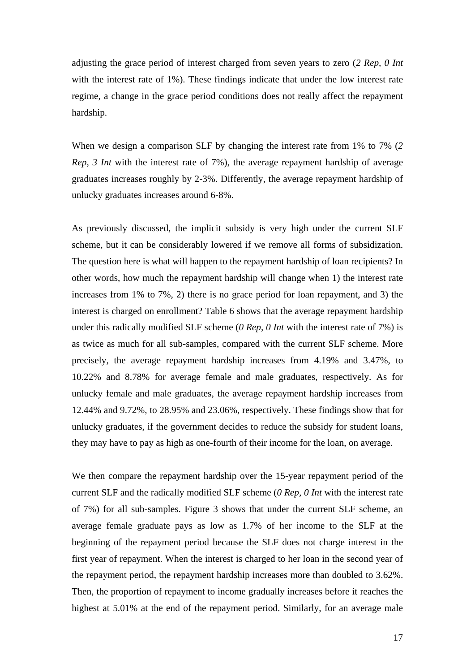adjusting the grace period of interest charged from seven years to zero (*2 Rep, 0 Int*  with the interest rate of 1%). These findings indicate that under the low interest rate regime, a change in the grace period conditions does not really affect the repayment hardship.

When we design a comparison SLF by changing the interest rate from 1% to 7% (*2 Rep, 3 Int* with the interest rate of 7%), the average repayment hardship of average graduates increases roughly by 2-3%. Differently, the average repayment hardship of unlucky graduates increases around 6-8%.

As previously discussed, the implicit subsidy is very high under the current SLF scheme, but it can be considerably lowered if we remove all forms of subsidization. The question here is what will happen to the repayment hardship of loan recipients? In other words, how much the repayment hardship will change when 1) the interest rate increases from 1% to 7%, 2) there is no grace period for loan repayment, and 3) the interest is charged on enrollment? Table 6 shows that the average repayment hardship under this radically modified SLF scheme (*0 Rep, 0 Int* with the interest rate of 7%) is as twice as much for all sub-samples, compared with the current SLF scheme. More precisely, the average repayment hardship increases from 4.19% and 3.47%, to 10.22% and 8.78% for average female and male graduates, respectively. As for unlucky female and male graduates, the average repayment hardship increases from 12.44% and 9.72%, to 28.95% and 23.06%, respectively. These findings show that for unlucky graduates, if the government decides to reduce the subsidy for student loans, they may have to pay as high as one-fourth of their income for the loan, on average.

We then compare the repayment hardship over the 15-year repayment period of the current SLF and the radically modified SLF scheme (*0 Rep, 0 Int* with the interest rate of 7%) for all sub-samples. Figure 3 shows that under the current SLF scheme, an average female graduate pays as low as 1.7% of her income to the SLF at the beginning of the repayment period because the SLF does not charge interest in the first year of repayment. When the interest is charged to her loan in the second year of the repayment period, the repayment hardship increases more than doubled to 3.62%. Then, the proportion of repayment to income gradually increases before it reaches the highest at 5.01% at the end of the repayment period. Similarly, for an average male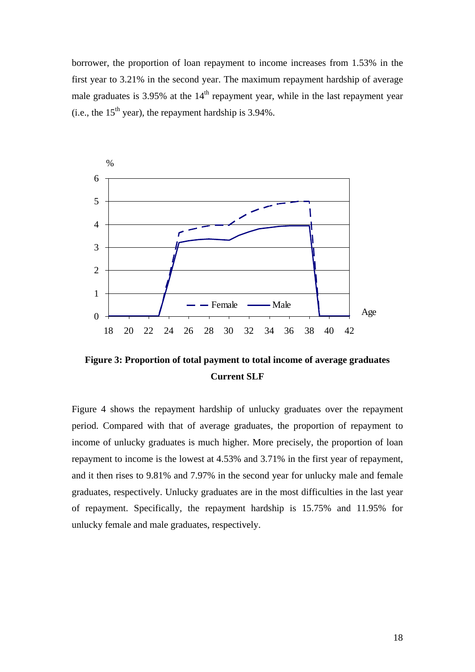borrower, the proportion of loan repayment to income increases from 1.53% in the first year to 3.21% in the second year. The maximum repayment hardship of average male graduates is  $3.95\%$  at the  $14<sup>th</sup>$  repayment year, while in the last repayment year (i.e., the  $15<sup>th</sup>$  year), the repayment hardship is 3.94%.



**Figure 3: Proportion of total payment to total income of average graduates Current SLF** 

Figure 4 shows the repayment hardship of unlucky graduates over the repayment period. Compared with that of average graduates, the proportion of repayment to income of unlucky graduates is much higher. More precisely, the proportion of loan repayment to income is the lowest at 4.53% and 3.71% in the first year of repayment, and it then rises to 9.81% and 7.97% in the second year for unlucky male and female graduates, respectively. Unlucky graduates are in the most difficulties in the last year of repayment. Specifically, the repayment hardship is 15.75% and 11.95% for unlucky female and male graduates, respectively.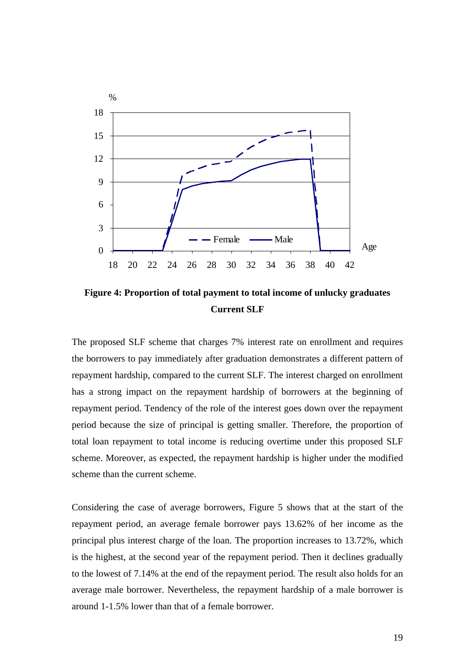

**Figure 4: Proportion of total payment to total income of unlucky graduates Current SLF**

The proposed SLF scheme that charges 7% interest rate on enrollment and requires the borrowers to pay immediately after graduation demonstrates a different pattern of repayment hardship, compared to the current SLF. The interest charged on enrollment has a strong impact on the repayment hardship of borrowers at the beginning of repayment period. Tendency of the role of the interest goes down over the repayment period because the size of principal is getting smaller. Therefore, the proportion of total loan repayment to total income is reducing overtime under this proposed SLF scheme. Moreover, as expected, the repayment hardship is higher under the modified scheme than the current scheme.

Considering the case of average borrowers, Figure 5 shows that at the start of the repayment period, an average female borrower pays 13.62% of her income as the principal plus interest charge of the loan. The proportion increases to 13.72%, which is the highest, at the second year of the repayment period. Then it declines gradually to the lowest of 7.14% at the end of the repayment period. The result also holds for an average male borrower. Nevertheless, the repayment hardship of a male borrower is around 1-1.5% lower than that of a female borrower.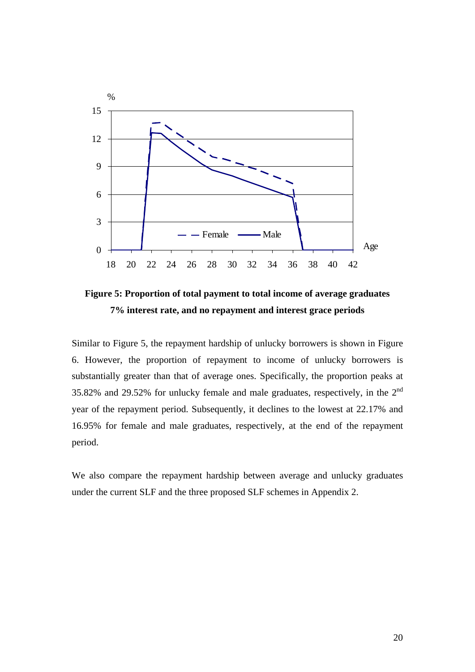

**Figure 5: Proportion of total payment to total income of average graduates 7% interest rate, and no repayment and interest grace periods** 

Similar to Figure 5, the repayment hardship of unlucky borrowers is shown in Figure 6. However, the proportion of repayment to income of unlucky borrowers is substantially greater than that of average ones. Specifically, the proportion peaks at 35.82% and 29.52% for unlucky female and male graduates, respectively, in the 2nd year of the repayment period. Subsequently, it declines to the lowest at 22.17% and 16.95% for female and male graduates, respectively, at the end of the repayment period.

We also compare the repayment hardship between average and unlucky graduates under the current SLF and the three proposed SLF schemes in Appendix 2.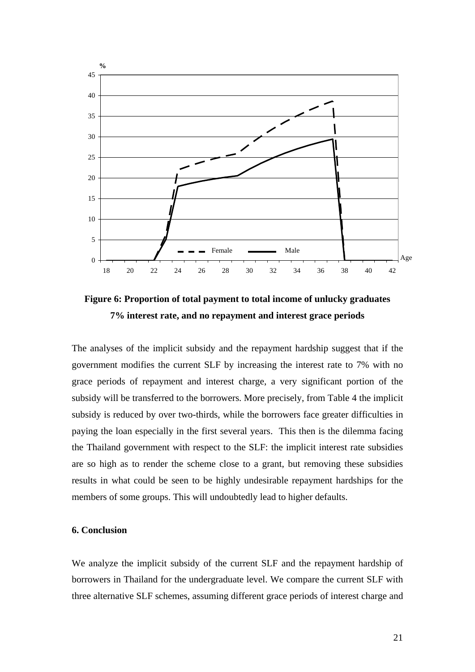

**Figure 6: Proportion of total payment to total income of unlucky graduates 7% interest rate, and no repayment and interest grace periods** 

The analyses of the implicit subsidy and the repayment hardship suggest that if the government modifies the current SLF by increasing the interest rate to 7% with no grace periods of repayment and interest charge, a very significant portion of the subsidy will be transferred to the borrowers. More precisely, from Table 4 the implicit subsidy is reduced by over two-thirds, while the borrowers face greater difficulties in paying the loan especially in the first several years. This then is the dilemma facing the Thailand government with respect to the SLF: the implicit interest rate subsidies are so high as to render the scheme close to a grant, but removing these subsidies results in what could be seen to be highly undesirable repayment hardships for the members of some groups. This will undoubtedly lead to higher defaults.

#### **6. Conclusion**

We analyze the implicit subsidy of the current SLF and the repayment hardship of borrowers in Thailand for the undergraduate level. We compare the current SLF with three alternative SLF schemes, assuming different grace periods of interest charge and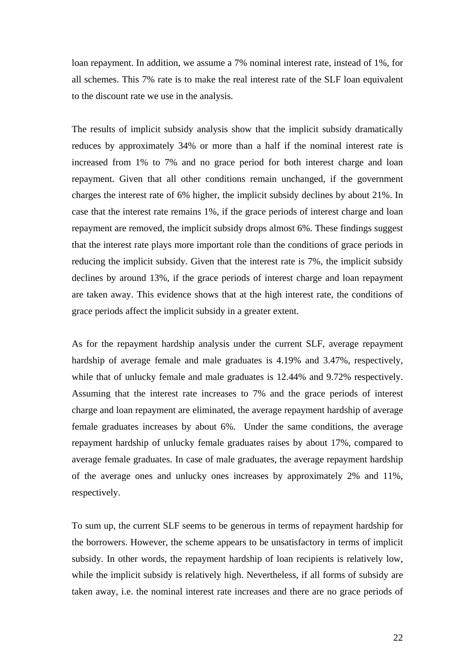loan repayment. In addition, we assume a 7% nominal interest rate, instead of 1%, for all schemes. This 7% rate is to make the real interest rate of the SLF loan equivalent to the discount rate we use in the analysis.

The results of implicit subsidy analysis show that the implicit subsidy dramatically reduces by approximately 34% or more than a half if the nominal interest rate is increased from 1% to 7% and no grace period for both interest charge and loan repayment. Given that all other conditions remain unchanged, if the government charges the interest rate of 6% higher, the implicit subsidy declines by about 21%. In case that the interest rate remains 1%, if the grace periods of interest charge and loan repayment are removed, the implicit subsidy drops almost 6%. These findings suggest that the interest rate plays more important role than the conditions of grace periods in reducing the implicit subsidy. Given that the interest rate is 7%, the implicit subsidy declines by around 13%, if the grace periods of interest charge and loan repayment are taken away. This evidence shows that at the high interest rate, the conditions of grace periods affect the implicit subsidy in a greater extent.

As for the repayment hardship analysis under the current SLF, average repayment hardship of average female and male graduates is 4.19% and 3.47%, respectively, while that of unlucky female and male graduates is  $12.44\%$  and  $9.72\%$  respectively. Assuming that the interest rate increases to 7% and the grace periods of interest charge and loan repayment are eliminated, the average repayment hardship of average female graduates increases by about 6%. Under the same conditions, the average repayment hardship of unlucky female graduates raises by about 17%, compared to average female graduates. In case of male graduates, the average repayment hardship of the average ones and unlucky ones increases by approximately 2% and 11%, respectively.

To sum up, the current SLF seems to be generous in terms of repayment hardship for the borrowers. However, the scheme appears to be unsatisfactory in terms of implicit subsidy. In other words, the repayment hardship of loan recipients is relatively low, while the implicit subsidy is relatively high. Nevertheless, if all forms of subsidy are taken away, i.e. the nominal interest rate increases and there are no grace periods of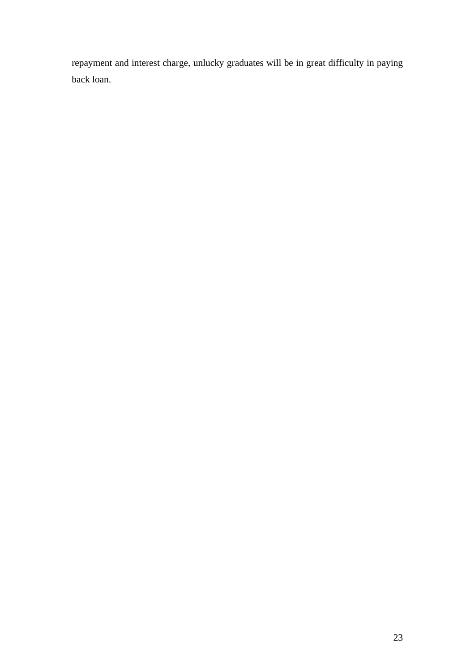repayment and interest charge, unlucky graduates will be in great difficulty in paying back loan.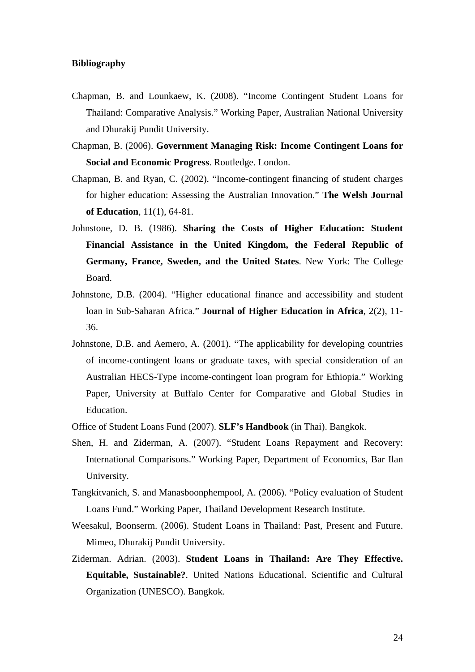#### **Bibliography**

- Chapman, B. and Lounkaew, K. (2008). "Income Contingent Student Loans for Thailand: Comparative Analysis." Working Paper, Australian National University and Dhurakij Pundit University.
- Chapman, B. (2006). **Government Managing Risk: Income Contingent Loans for Social and Economic Progress**. Routledge. London.
- Chapman, B. and Ryan, C. (2002). "Income-contingent financing of student charges for higher education: Assessing the Australian Innovation." **The Welsh Journal of Education**, 11(1), 64-81.
- Johnstone, D. B. (1986). **Sharing the Costs of Higher Education: Student Financial Assistance in the United Kingdom, the Federal Republic of Germany, France, Sweden, and the United States**. New York: The College Board.
- Johnstone, D.B. (2004). "Higher educational finance and accessibility and student loan in Sub-Saharan Africa." **Journal of Higher Education in Africa**, 2(2), 11- 36.
- Johnstone, D.B. and Aemero, A. (2001). "The applicability for developing countries of income-contingent loans or graduate taxes, with special consideration of an Australian HECS-Type income-contingent loan program for Ethiopia." Working Paper, University at Buffalo Center for Comparative and Global Studies in Education.
- Office of Student Loans Fund (2007). **SLF's Handbook** (in Thai). Bangkok.
- Shen, H. and Ziderman, A. (2007). "Student Loans Repayment and Recovery: International Comparisons." Working Paper, Department of Economics, Bar Ilan University.
- Tangkitvanich, S. and Manasboonphempool, A. (2006). "Policy evaluation of Student Loans Fund." Working Paper, Thailand Development Research Institute.
- Weesakul, Boonserm. (2006). Student Loans in Thailand: Past, Present and Future. Mimeo, Dhurakij Pundit University.
- Ziderman. Adrian. (2003). **Student Loans in Thailand: Are They Effective. Equitable, Sustainable?**. United Nations Educational. Scientific and Cultural Organization (UNESCO). Bangkok.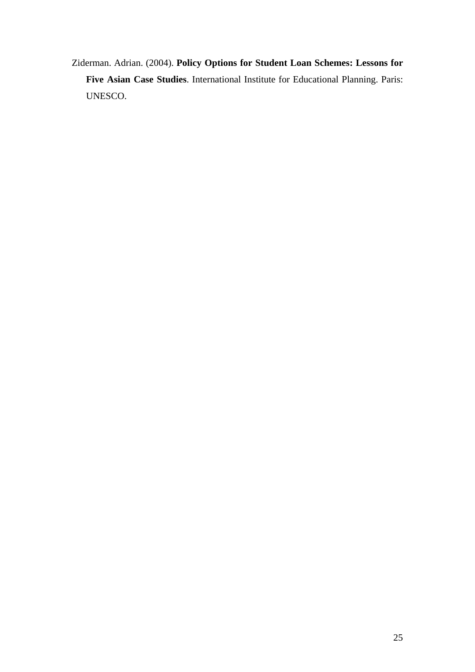Ziderman. Adrian. (2004). **Policy Options for Student Loan Schemes: Lessons for Five Asian Case Studies**. International Institute for Educational Planning. Paris: UNESCO.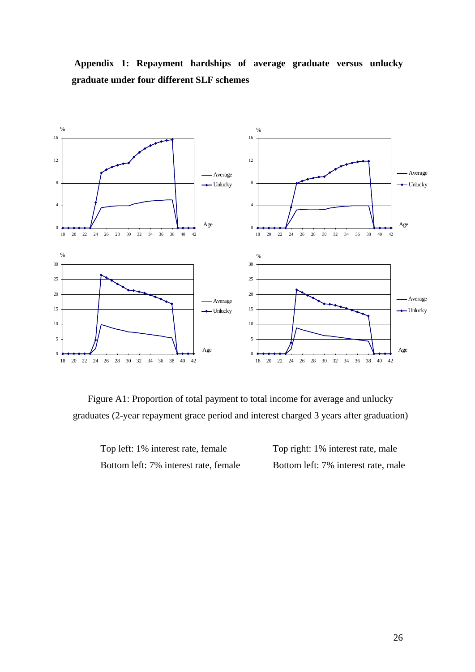

**Appendix 1: Repayment hardships of average graduate versus unlucky graduate under four different SLF schemes** 

Figure A1: Proportion of total payment to total income for average and unlucky graduates (2-year repayment grace period and interest charged 3 years after graduation)

Top left: 1% interest rate, female Top right: 1% interest rate, male Bottom left: 7% interest rate, female Bottom left: 7% interest rate, male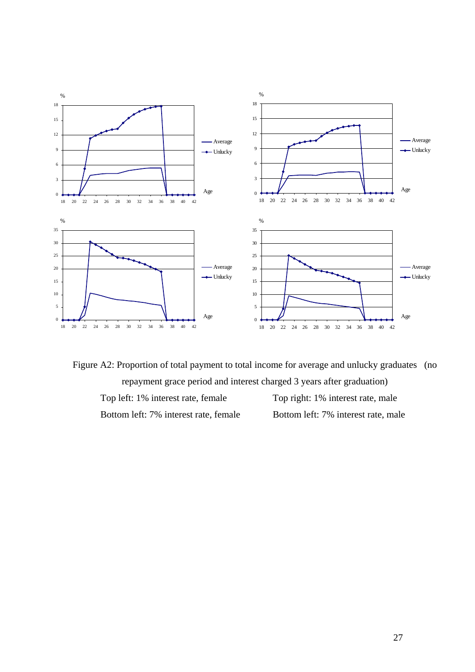

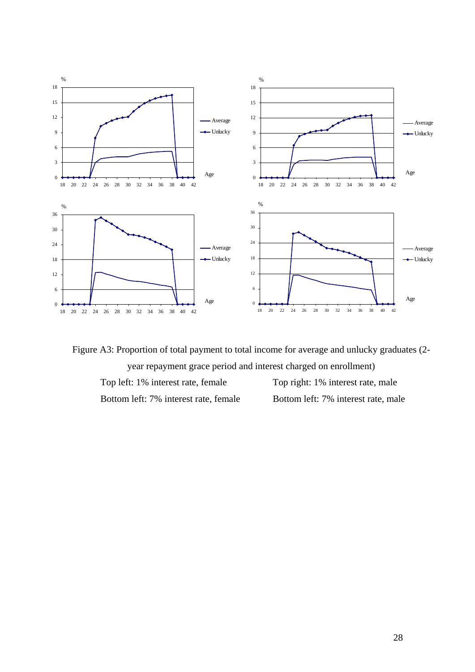



Bottom left: 7% interest rate, female Bottom left: 7% interest rate, male